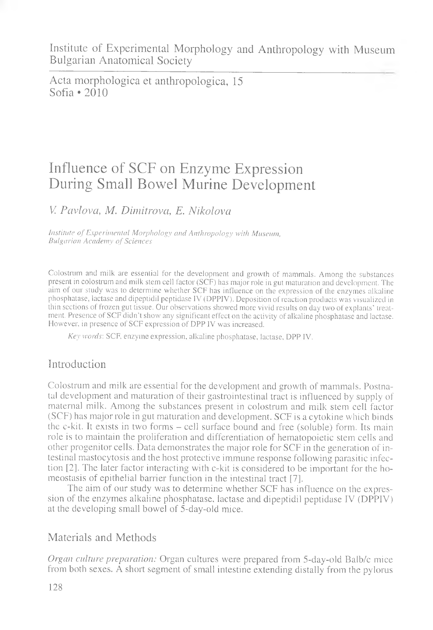Acta morphologica et anthropologica, 15 Sofia  $\cdot$  2010

# Influence of SCF on Enzyme Expression During Small Bowel Murine Development

V *Pavlova, M. Dimitrova, E. Nikolova*

*Institute of Experimental Morphology and Anthropology with Museum, Bulgarian Academy of Sciences*

Colostrum and milk are essential for the development and growth of mammals. Among the substances present in colostrum and milk stem cell factor (SCF) has major role in gut maturation and development. The aim of our study was to determine whether SCF has influence on the expression of the enzymes alkaline phosphatase, lactase and dipeptidil peptidase IV (DPPIV). Deposition of reaction products was visualized in thin sections of frozen gut tissue. Our observations showed more vivid results on day two of explants' treatment. Presence of SCF didn't show any significant effect on the activity of alkaline phosphatase and lactase. However, in presence of SCF expression of DPP IV was increased.

*Key words:* SCF, enzyme expression, alkaline phosphatase, lactase, DPP IV.

## Introduction

Colostrum and milk are essential for the development and growth of mammals. Postnatal development and maturation of their gastrointestinal tract is influenced by supply of maternal milk. Among the substances present in colostrum and milk stem cell factor (SCF) has major role in gut maturation and development. SCF is a cytokine which binds the c-kit. It exists in two forms - cell surface bound and free (soluble) form. Its main role is to maintain the proliferation and differentiation of hematopoietic stem cells and other progenitor cells. Data demonstrates the major role for SCF in the generation of intestinal mastocytosis and the host protective immune response following parasitic infection [2]. The later factor interacting with c-kit is considered to be important for the homeostasis of epithelial barrier function in the intestinal tract [7].

The aim of our study was to determine whether SCF has influence on the expression of the enzymes alkaline phosphatase, lactase and dipeptidil peptidase IV (DPPIV) at the developing small bowel of 5-day-old mice.

### Materials and Methods

*Organ culture preparation:* Organ cultures were prepared from 5-day-old Balb/c mice from both sexes. A short segment of small intestine extending distally from the pylorus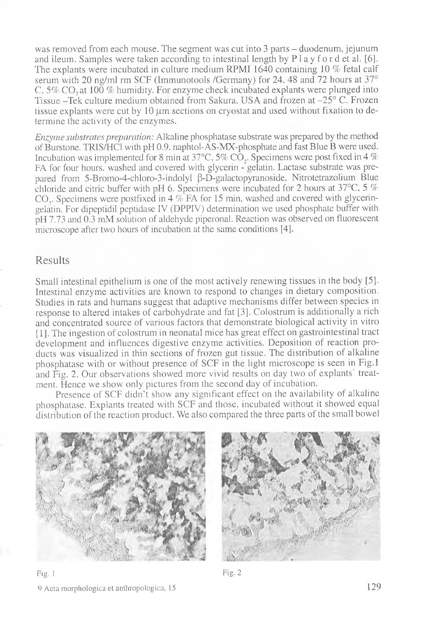was removed from each mouse. The segment was cut into 3 parts - duodenum, jejunum and ileum. Samples were taken according to intestinal length by  $P \, 1 \, a$  y f o r d et al. [6]. The explants were incubated in culture medium RPMI 1640 containing 10 % fetal calf serum with 20 ng/ml rm SCF (Immunotools /Germany) for 24, 48 and 72 hours at 37° C, 5% CO, at 100 % humidity. For enzyme check incubated explants were plunged into Tissue -Tek culture medium obtained from Sakura, USA and frozen at -25° C. Frozen tissue explants were cut by  $10 \mu m$  sections on cryostat and used without fixation to determine the activity of the enzymes.

*Enzyme substrates preparation:* Alkaline phosphatase substrate was prepared by the method of Burstone. TRIS/HC1 with pFI 0.9. naphtol-AS-MX-phosphate and fast Blue B were used. Incubation was implemented for 8 min at 37°C, *5%* CO,. Specimens were post fixed in 4 % FA for four hours, washed and covered with glycerin - gelatin. Lactase substrate was prepared from 5-Bromo-4-chloro-3-indolyl  $\beta$ -D-galactopyranoside, Nitrotetrazolium Blue chloride and citric buffer with pH 6. Specimens were incubated for 2 hours at 37 $^{\circ}$ C, 5 % CO<sub>.</sub>. Specimens were postfixed in 4  $\%$  FA for 15 min, washed and covered with glyceringelatin. For dipeptidil peptidase IV (DPPIV) determination we used phosphate buffer with pH 7.73 and 0.3 mM solution of aldehyde piperonal. Reaction was observed on fluorescent microscope after two hours of incubation at the same conditions [4].

#### Results

Small intestinal epithelium is one of the most actively renewing tissues in the body [5]. Intestinal enzyme activities are known to respond to changes in dietary composition. Studies in rats and humans suggest that adaptive mechanisms differ between species in response to altered intakes of carbohydrate and fat [3]. Colostrum is additionally a rich and concentrated source of various factors that demonstrate biological activity in vitro [1]. The ingestion of colostrum in neonatal mice has great effect on gastrointestinal tract development and influences digestive enzyme activities. Deposition of reaction products was visualized in thin sections of frozen gut tissue. The distribution of alkaline phosphatase with or without presence of SCF in the light microscope is seen in Fig.l and Fig. 2. Our observations showed more vivid results on day two of explants' treatment. Hence we show only pictures from the second day of incubation.

Presence of SCF didn't show any significant effect on the availability of alkaline phosphatase. Explants treated with SCF and those, incubated without it showed equal distribution of the reaction product. We also compared the three parts of the small bowel





Fig. l Fig. 2 9 Acta morphologica et anthropologica, 15 129

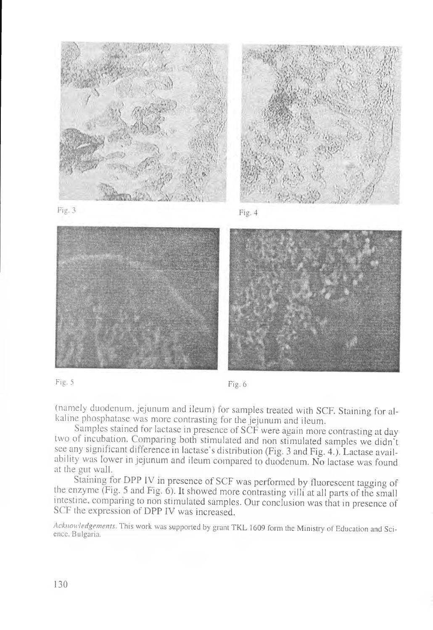



Fig. 5 Fig. 6

(namely duodenum, jejunum and ileum) for samples treated with SCF. Staining for alkaline phosphatase was more contrasting for the jejunum and ileum.

Samples stained for lactase in presence of SCF were again more contrasting at day two of incubation. Comparing both stimulated and non stimulated samples we didn't see any significant difference in lactase's distribution (Fig. 3 and Fig. 4.). Lactase availability was lower in jejunum and ileum compared to duodenum. No lactase was found at the gut wall.

Staining for DPP IV in presence of SCF was performed by fluorescent tagging of the enzyme (Fig. 5 and Fig.  $6$ ). It showed more contrasting villi at all parts of the small intestine, comparing to non stimulated samples. Our conclusion was that in presence of SCF the expression of DPP IV was increased.

*Acknowledgements.* This work was supported by grant TKL 1609 form the Ministry of Education and Science, Bulgaria.